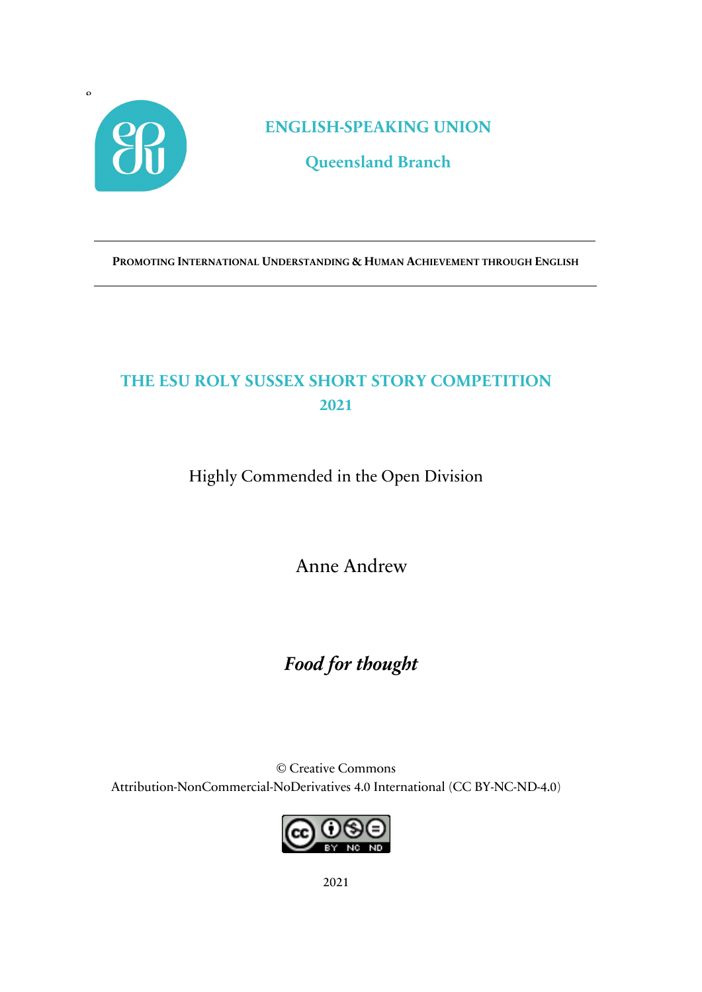

**ENGLISH-SPEAKING UNION**

**Queensland Branch**

**PROMOTING INTERNATIONAL UNDERSTANDING & HUMAN ACHIEVEMENT THROUGH ENGLISH**

## **THE ESU ROLY SUSSEX SHORT STORY COMPETITION 2021**

Highly Commended in the Open Division

Anne Andrew

# *Food for thought*

© Creative Commons Attribution-NonCommercial-NoDerivatives 4.0 International (CC BY-NC-ND-4.0)

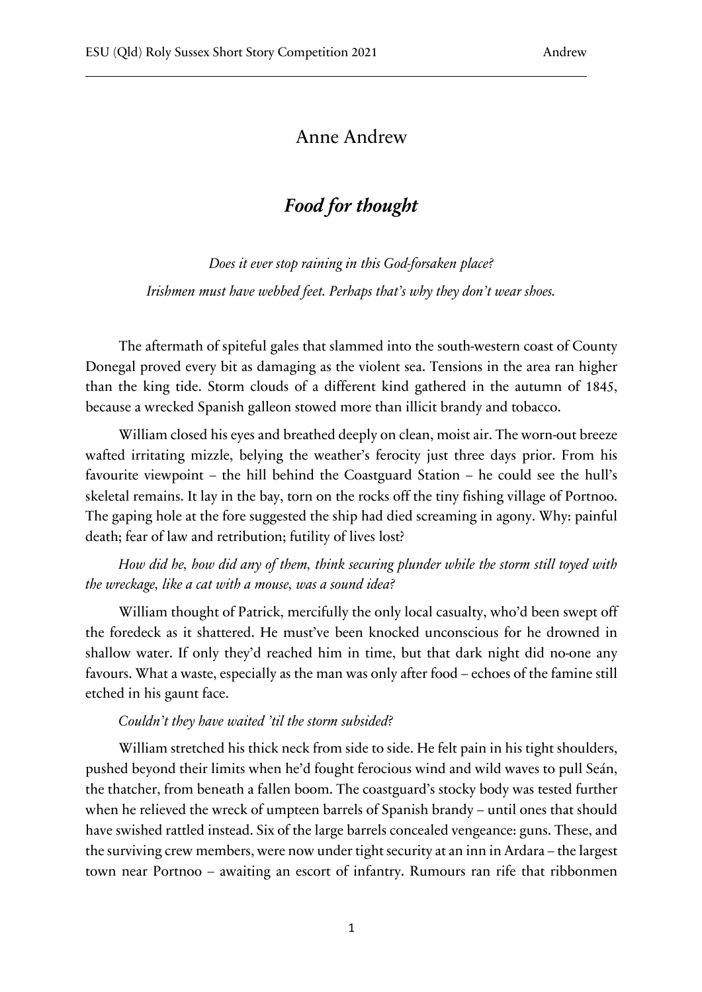### Anne Andrew

### *Food for thought*

*Does it ever stop raining in this God-forsaken place? Irishmen must have webbed feet. Perhaps that's why they don't wear shoes.*

The aftermath of spiteful gales that slammed into the south-western coast of County Donegal proved every bit as damaging as the violent sea. Tensions in the area ran higher than the king tide. Storm clouds of a different kind gathered in the autumn of 1845, because a wrecked Spanish galleon stowed more than illicit brandy and tobacco.

William closed his eyes and breathed deeply on clean, moist air. The worn-out breeze wafted irritating mizzle, belying the weather's ferocity just three days prior. From his favourite viewpoint – the hill behind the Coastguard Station – he could see the hull's skeletal remains. It lay in the bay, torn on the rocks off the tiny fishing village of Portnoo. The gaping hole at the fore suggested the ship had died screaming in agony. Why: painful death; fear of law and retribution; futility of lives lost?

*How did he, how did any of them, think securing plunder while the storm still toyed with the wreckage, like a cat with a mouse, was a sound idea?* 

William thought of Patrick, mercifully the only local casualty, who'd been swept off the foredeck as it shattered. He must've been knocked unconscious for he drowned in shallow water. If only they'd reached him in time, but that dark night did no-one any favours. What a waste, especially as the man was only after food – echoes of the famine still etched in his gaunt face.

#### *Couldn't they have waited 'til the storm subsided?*

William stretched his thick neck from side to side. He felt pain in his tight shoulders, pushed beyond their limits when he'd fought ferocious wind and wild waves to pull Seán, the thatcher, from beneath a fallen boom. The coastguard's stocky body was tested further when he relieved the wreck of umpteen barrels of Spanish brandy – until ones that should have swished rattled instead. Six of the large barrels concealed vengeance: guns. These, and the surviving crew members, were now under tight security at an inn in Ardara – the largest town near Portnoo – awaiting an escort of infantry. Rumours ran rife that ribbonmen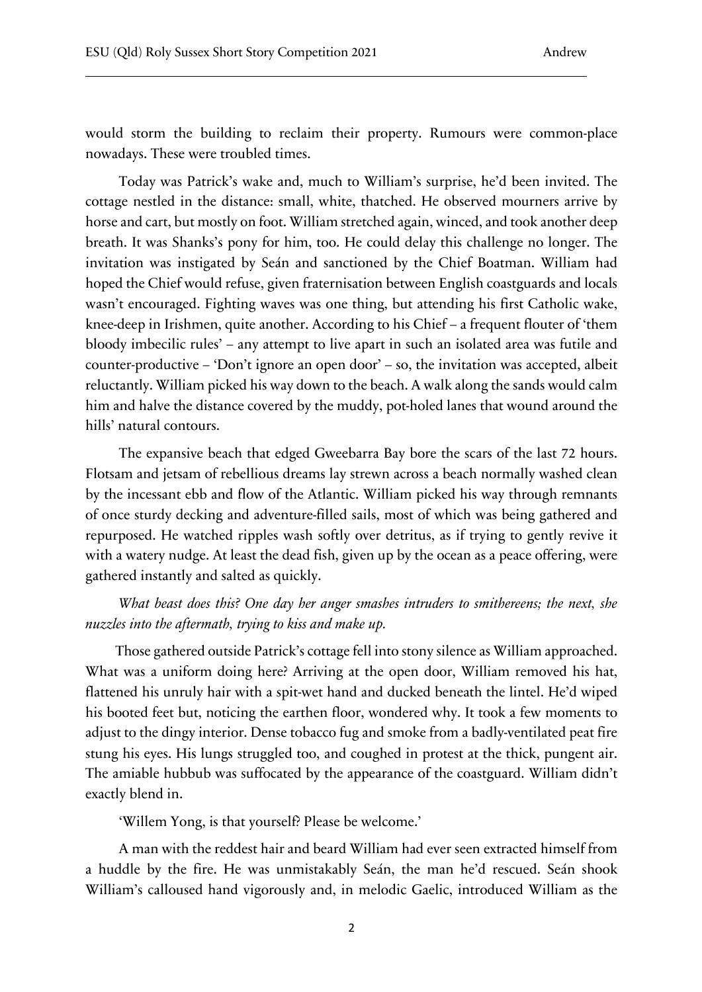would storm the building to reclaim their property. Rumours were common-place nowadays. These were troubled times.

Today was Patrick's wake and, much to William's surprise, he'd been invited. The cottage nestled in the distance: small, white, thatched. He observed mourners arrive by horse and cart, but mostly on foot. William stretched again, winced, and took another deep breath. It was Shanks's pony for him, too. He could delay this challenge no longer. The invitation was instigated by Seán and sanctioned by the Chief Boatman. William had hoped the Chief would refuse, given fraternisation between English coastguards and locals wasn't encouraged. Fighting waves was one thing, but attending his first Catholic wake, knee-deep in Irishmen, quite another. According to his Chief – a frequent flouter of 'them bloody imbecilic rules' – any attempt to live apart in such an isolated area was futile and counter-productive – 'Don't ignore an open door' – so, the invitation was accepted, albeit reluctantly. William picked his way down to the beach. A walk along the sands would calm him and halve the distance covered by the muddy, pot-holed lanes that wound around the hills' natural contours.

The expansive beach that edged Gweebarra Bay bore the scars of the last 72 hours. Flotsam and jetsam of rebellious dreams lay strewn across a beach normally washed clean by the incessant ebb and flow of the Atlantic. William picked his way through remnants of once sturdy decking and adventure-filled sails, most of which was being gathered and repurposed. He watched ripples wash softly over detritus, as if trying to gently revive it with a watery nudge. At least the dead fish, given up by the ocean as a peace offering, were gathered instantly and salted as quickly.

*What beast does this? One day her anger smashes intruders to smithereens; the next, she nuzzles into the aftermath, trying to kiss and make up.* 

Those gathered outside Patrick's cottage fell into stony silence as William approached. What was a uniform doing here? Arriving at the open door, William removed his hat, flattened his unruly hair with a spit-wet hand and ducked beneath the lintel. He'd wiped his booted feet but, noticing the earthen floor, wondered why. It took a few moments to adjust to the dingy interior. Dense tobacco fug and smoke from a badly-ventilated peat fire stung his eyes. His lungs struggled too, and coughed in protest at the thick, pungent air. The amiable hubbub was suffocated by the appearance of the coastguard. William didn't exactly blend in.

'Willem Yong, is that yourself? Please be welcome.'

A man with the reddest hair and beard William had ever seen extracted himself from a huddle by the fire. He was unmistakably Seán, the man he'd rescued. Seán shook William's calloused hand vigorously and, in melodic Gaelic, introduced William as the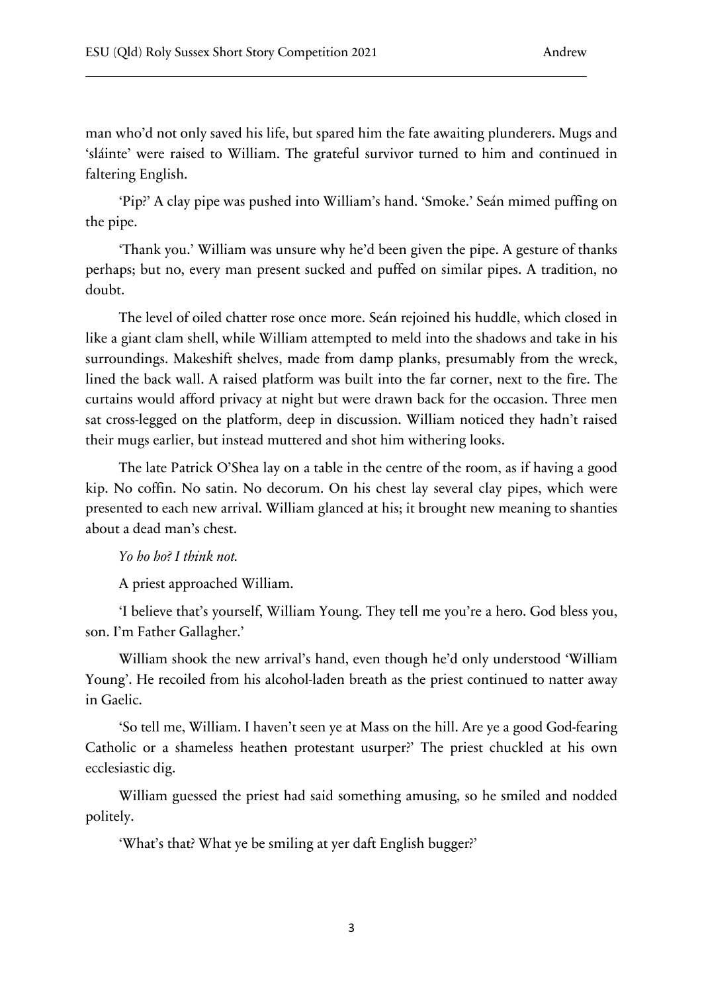man who'd not only saved his life, but spared him the fate awaiting plunderers. Mugs and 'sláinte' were raised to William. The grateful survivor turned to him and continued in faltering English.

'Pip?' A clay pipe was pushed into William's hand. 'Smoke.' Seán mimed puffing on the pipe.

'Thank you.' William was unsure why he'd been given the pipe. A gesture of thanks perhaps; but no, every man present sucked and puffed on similar pipes. A tradition, no doubt.

The level of oiled chatter rose once more. Seán rejoined his huddle, which closed in like a giant clam shell, while William attempted to meld into the shadows and take in his surroundings. Makeshift shelves, made from damp planks, presumably from the wreck, lined the back wall. A raised platform was built into the far corner, next to the fire. The curtains would afford privacy at night but were drawn back for the occasion. Three men sat cross-legged on the platform, deep in discussion. William noticed they hadn't raised their mugs earlier, but instead muttered and shot him withering looks.

The late Patrick O'Shea lay on a table in the centre of the room, as if having a good kip. No coffin. No satin. No decorum. On his chest lay several clay pipes, which were presented to each new arrival. William glanced at his; it brought new meaning to shanties about a dead man's chest.

#### *Yo ho ho? I think not.*

A priest approached William.

'I believe that's yourself, William Young. They tell me you're a hero. God bless you, son. I'm Father Gallagher.'

William shook the new arrival's hand, even though he'd only understood 'William Young'. He recoiled from his alcohol-laden breath as the priest continued to natter away in Gaelic.

'So tell me, William. I haven't seen ye at Mass on the hill. Are ye a good God-fearing Catholic or a shameless heathen protestant usurper?' The priest chuckled at his own ecclesiastic dig.

William guessed the priest had said something amusing, so he smiled and nodded politely.

'What's that? What ye be smiling at yer daft English bugger?'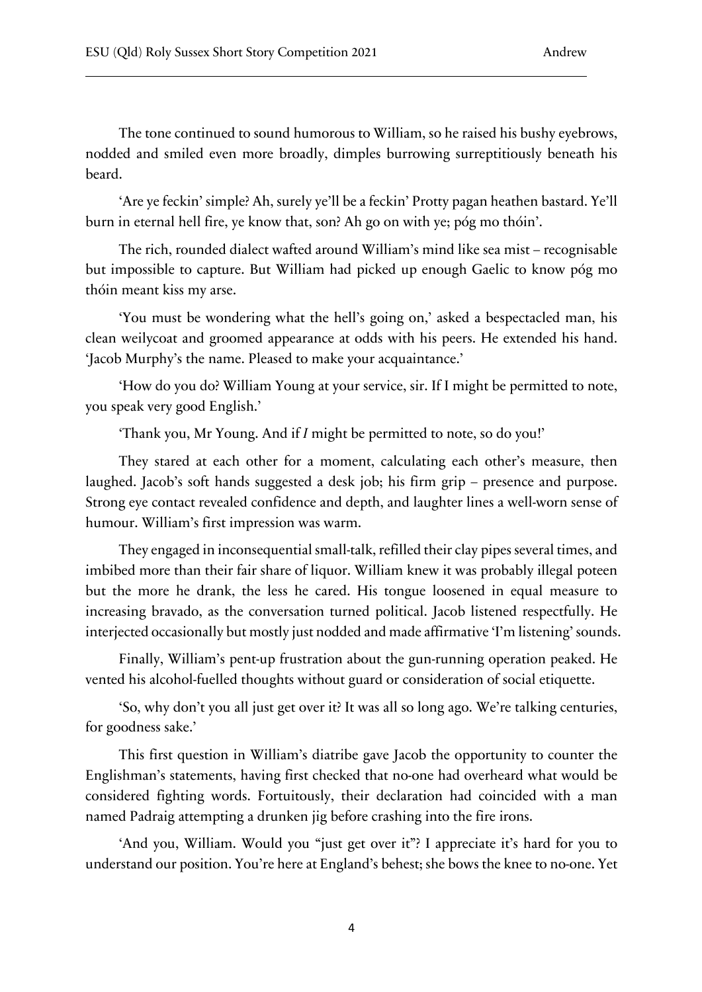The tone continued to sound humorous to William, so he raised his bushy eyebrows, nodded and smiled even more broadly, dimples burrowing surreptitiously beneath his beard.

'Are ye feckin' simple? Ah, surely ye'll be a feckin' Protty pagan heathen bastard. Ye'll burn in eternal hell fire, ye know that, son? Ah go on with ye; póg mo thóin'.

The rich, rounded dialect wafted around William's mind like sea mist – recognisable but impossible to capture. But William had picked up enough Gaelic to know póg mo thóin meant kiss my arse.

'You must be wondering what the hell's going on,' asked a bespectacled man, his clean weilycoat and groomed appearance at odds with his peers. He extended his hand. 'Jacob Murphy's the name. Pleased to make your acquaintance.'

'How do you do? William Young at your service, sir. If I might be permitted to note, you speak very good English.'

'Thank you, Mr Young. And if *I* might be permitted to note, so do you!'

They stared at each other for a moment, calculating each other's measure, then laughed. Jacob's soft hands suggested a desk job; his firm grip – presence and purpose. Strong eye contact revealed confidence and depth, and laughter lines a well-worn sense of humour. William's first impression was warm.

They engaged in inconsequential small-talk, refilled their clay pipes several times, and imbibed more than their fair share of liquor. William knew it was probably illegal poteen but the more he drank, the less he cared. His tongue loosened in equal measure to increasing bravado, as the conversation turned political. Jacob listened respectfully. He interjected occasionally but mostly just nodded and made affirmative 'I'm listening' sounds.

Finally, William's pent-up frustration about the gun-running operation peaked. He vented his alcohol-fuelled thoughts without guard or consideration of social etiquette.

'So, why don't you all just get over it? It was all so long ago. We're talking centuries, for goodness sake.'

This first question in William's diatribe gave Jacob the opportunity to counter the Englishman's statements, having first checked that no-one had overheard what would be considered fighting words. Fortuitously, their declaration had coincided with a man named Padraig attempting a drunken jig before crashing into the fire irons.

'And you, William. Would you "just get over it"? I appreciate it's hard for you to understand our position. You're here at England's behest; she bows the knee to no-one. Yet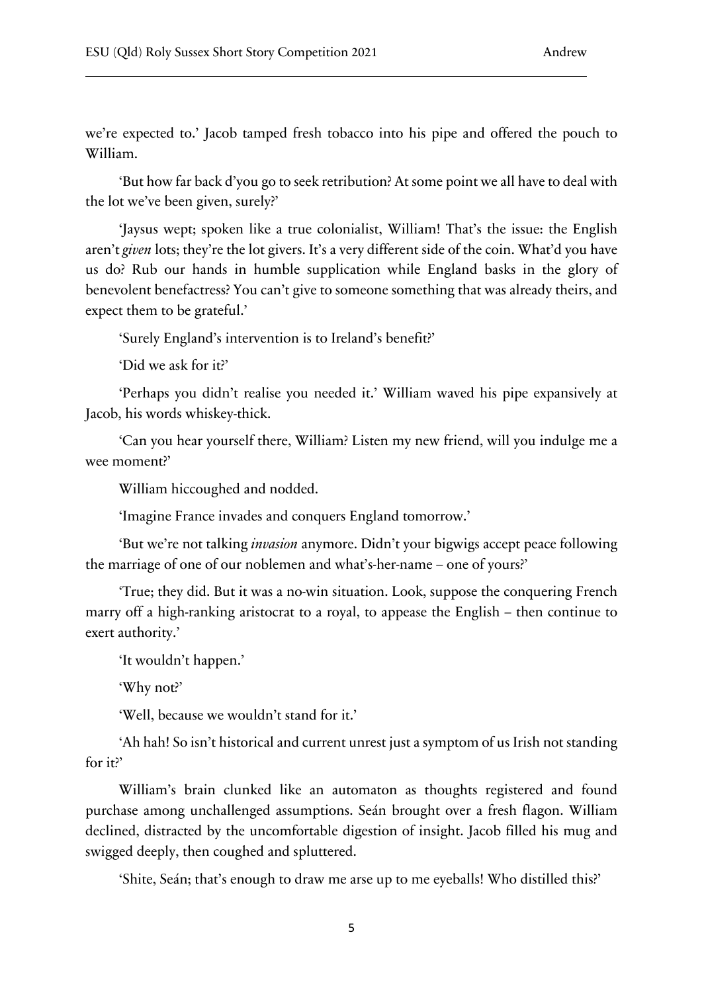we're expected to.' Jacob tamped fresh tobacco into his pipe and offered the pouch to William.

'But how far back d'you go to seek retribution? At some point we all have to deal with the lot we've been given, surely?'

'Jaysus wept; spoken like a true colonialist, William! That's the issue: the English aren't *given* lots; they're the lot givers. It's a very different side of the coin. What'd you have us do? Rub our hands in humble supplication while England basks in the glory of benevolent benefactress? You can't give to someone something that was already theirs, and expect them to be grateful.'

'Surely England's intervention is to Ireland's benefit?'

'Did we ask for it?'

'Perhaps you didn't realise you needed it.' William waved his pipe expansively at Jacob, his words whiskey-thick.

'Can you hear yourself there, William? Listen my new friend, will you indulge me a wee moment?'

William hiccoughed and nodded.

'Imagine France invades and conquers England tomorrow.'

'But we're not talking *invasion* anymore. Didn't your bigwigs accept peace following the marriage of one of our noblemen and what's-her-name – one of yours?'

'True; they did. But it was a no-win situation. Look, suppose the conquering French marry off a high-ranking aristocrat to a royal, to appease the English – then continue to exert authority.'

'It wouldn't happen.'

'Why not?'

'Well, because we wouldn't stand for it.'

'Ah hah! So isn't historical and current unrest just a symptom of us Irish not standing for it?'

William's brain clunked like an automaton as thoughts registered and found purchase among unchallenged assumptions. Seán brought over a fresh flagon. William declined, distracted by the uncomfortable digestion of insight. Jacob filled his mug and swigged deeply, then coughed and spluttered.

'Shite, Seán; that's enough to draw me arse up to me eyeballs! Who distilled this?'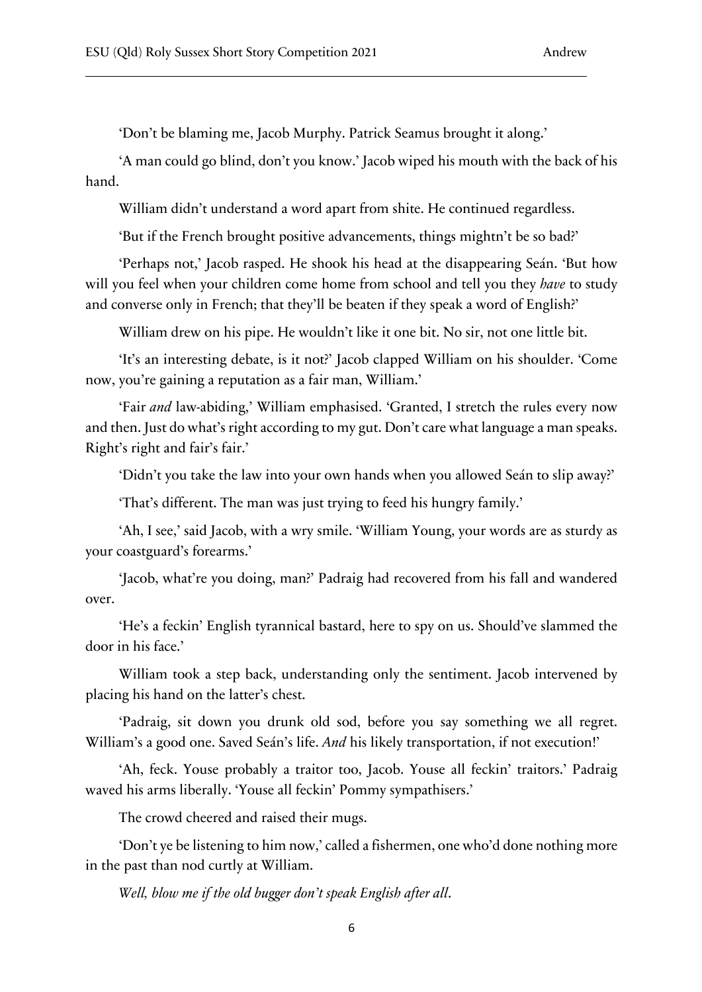'Don't be blaming me, Jacob Murphy. Patrick Seamus brought it along.'

'A man could go blind, don't you know.' Jacob wiped his mouth with the back of his hand.

William didn't understand a word apart from shite. He continued regardless.

'But if the French brought positive advancements, things mightn't be so bad?'

'Perhaps not,' Jacob rasped. He shook his head at the disappearing Seán. 'But how will you feel when your children come home from school and tell you they *have* to study and converse only in French; that they'll be beaten if they speak a word of English?'

William drew on his pipe. He wouldn't like it one bit. No sir, not one little bit.

'It's an interesting debate, is it not?' Jacob clapped William on his shoulder. 'Come now, you're gaining a reputation as a fair man, William.'

'Fair *and* law-abiding,' William emphasised. 'Granted, I stretch the rules every now and then. Just do what's right according to my gut. Don't care what language a man speaks. Right's right and fair's fair.'

'Didn't you take the law into your own hands when you allowed Seán to slip away?'

'That's different. The man was just trying to feed his hungry family.'

'Ah, I see,' said Jacob, with a wry smile. 'William Young, your words are as sturdy as your coastguard's forearms.'

'Jacob, what're you doing, man?' Padraig had recovered from his fall and wandered over.

'He's a feckin' English tyrannical bastard, here to spy on us. Should've slammed the door in his face.'

William took a step back, understanding only the sentiment. Jacob intervened by placing his hand on the latter's chest.

'Padraig, sit down you drunk old sod, before you say something we all regret. William's a good one. Saved Seán's life. *And* his likely transportation, if not execution!'

'Ah, feck. Youse probably a traitor too, Jacob. Youse all feckin' traitors.' Padraig waved his arms liberally. 'Youse all feckin' Pommy sympathisers.'

The crowd cheered and raised their mugs.

'Don't ye be listening to him now,' called a fishermen, one who'd done nothing more in the past than nod curtly at William.

*Well, blow me if the old bugger don't speak English after all*.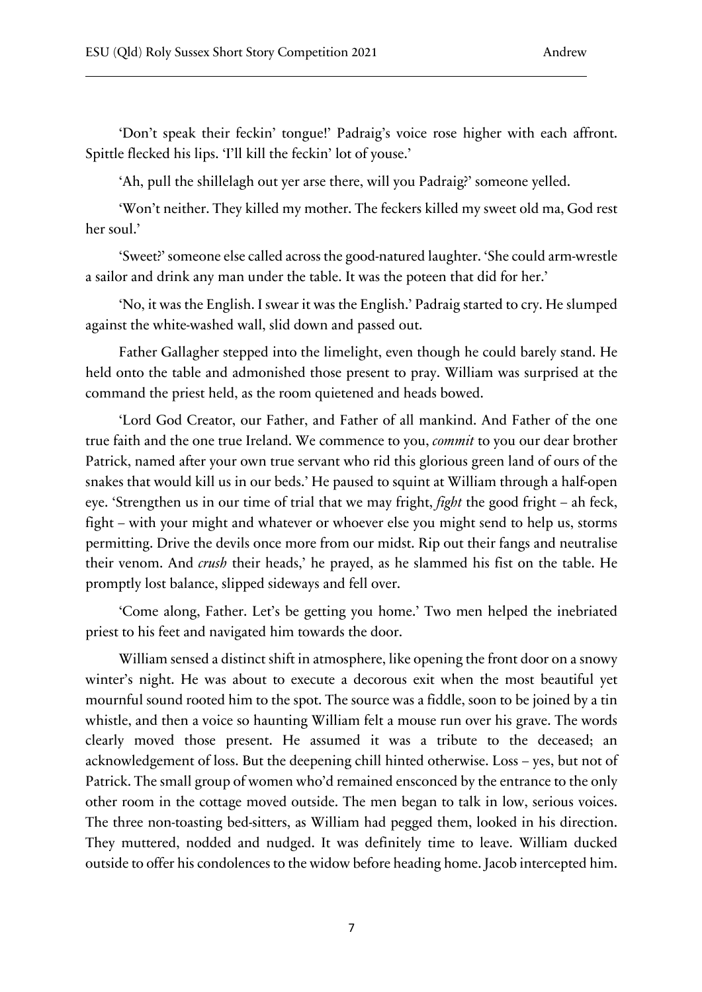'Don't speak their feckin' tongue!' Padraig's voice rose higher with each affront. Spittle flecked his lips. 'I'll kill the feckin' lot of youse.'

'Ah, pull the shillelagh out yer arse there, will you Padraig?' someone yelled.

'Won't neither. They killed my mother. The feckers killed my sweet old ma, God rest her soul.'

'Sweet?' someone else called across the good-natured laughter. 'She could arm-wrestle a sailor and drink any man under the table. It was the poteen that did for her.'

'No, it was the English. I swear it was the English.' Padraig started to cry. He slumped against the white-washed wall, slid down and passed out.

Father Gallagher stepped into the limelight, even though he could barely stand. He held onto the table and admonished those present to pray. William was surprised at the command the priest held, as the room quietened and heads bowed.

'Lord God Creator, our Father, and Father of all mankind. And Father of the one true faith and the one true Ireland. We commence to you, *commit* to you our dear brother Patrick, named after your own true servant who rid this glorious green land of ours of the snakes that would kill us in our beds.' He paused to squint at William through a half-open eye. 'Strengthen us in our time of trial that we may fright, *fight* the good fright – ah feck, fight – with your might and whatever or whoever else you might send to help us, storms permitting. Drive the devils once more from our midst. Rip out their fangs and neutralise their venom. And *crush* their heads,' he prayed, as he slammed his fist on the table. He promptly lost balance, slipped sideways and fell over.

'Come along, Father. Let's be getting you home.' Two men helped the inebriated priest to his feet and navigated him towards the door.

William sensed a distinct shift in atmosphere, like opening the front door on a snowy winter's night. He was about to execute a decorous exit when the most beautiful yet mournful sound rooted him to the spot. The source was a fiddle, soon to be joined by a tin whistle, and then a voice so haunting William felt a mouse run over his grave. The words clearly moved those present. He assumed it was a tribute to the deceased; an acknowledgement of loss. But the deepening chill hinted otherwise. Loss – yes, but not of Patrick. The small group of women who'd remained ensconced by the entrance to the only other room in the cottage moved outside. The men began to talk in low, serious voices. The three non-toasting bed-sitters, as William had pegged them, looked in his direction. They muttered, nodded and nudged. It was definitely time to leave. William ducked outside to offer his condolences to the widow before heading home. Jacob intercepted him.